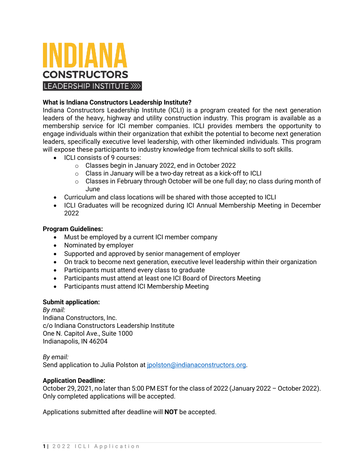

# **What is Indiana Constructors Leadership Institute?**

Indiana Constructors Leadership Institute (ICLI) is a program created for the next generation leaders of the heavy, highway and utility construction industry. This program is available as a membership service for ICI member companies. ICLI provides members the opportunity to engage individuals within their organization that exhibit the potential to become next generation leaders, specifically executive level leadership, with other likeminded individuals. This program will expose these participants to industry knowledge from technical skills to soft skills.

- ICLI consists of 9 courses:
	- o Classes begin in January 2022, end in October 2022
	- o Class in January will be a two-day retreat as a kick-off to ICLI
	- $\circ$  Classes in February through October will be one full day; no class during month of June
- Curriculum and class locations will be shared with those accepted to ICLI
- ICLI Graduates will be recognized during ICI Annual Membership Meeting in December 2022

# **Program Guidelines:**

- Must be employed by a current ICI member company
- Nominated by employer
- Supported and approved by senior management of employer
- On track to become next generation, executive level leadership within their organization
- Participants must attend every class to graduate
- Participants must attend at least one ICI Board of Directors Meeting
- Participants must attend ICI Membership Meeting

# **Submit application:**

*By mail:* Indiana Constructors, Inc. c/o Indiana Constructors Leadership Institute One N. Capitol Ave., Suite 1000 Indianapolis, IN 46204

*By email:* Send application to Julia Polston at [jpolston@indianaconstructors.org.](mailto:jpolston@indianaconstructors.org)

# **Application Deadline:**

October 29, 2021, no later than 5:00 PM EST for the class of 2022 (January 2022 – October 2022). Only completed applications will be accepted.

Applications submitted after deadline will **NOT** be accepted.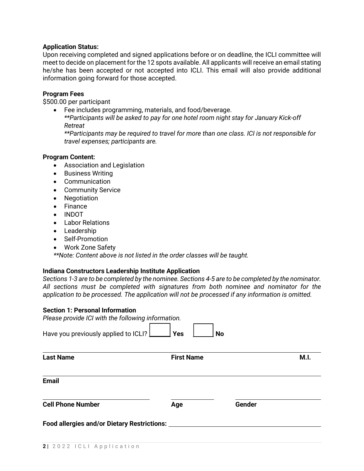## **Application Status:**

Upon receiving completed and signed applications before or on deadline, the ICLI committee will meet to decide on placement for the 12 spots available. All applicants will receive an email stating he/she has been accepted or not accepted into ICLI. This email will also provide additional information going forward for those accepted.

### **Program Fees**

\$500.00 per participant

• Fee includes programming, materials, and food/beverage. *\*\*Participants will be asked to pay for one hotel room night stay for January Kick-off Retreat \*\*Participants may be required to travel for more than one class. ICI is not responsible for travel expenses; participants are.*

#### **Program Content:**

- Association and Legislation
- Business Writing
- Communication
- Community Service
- Negotiation
- Finance
- INDOT
- Labor Relations
- Leadership
- Self-Promotion
- Work Zone Safety

*\*\*Note: Content above is not listed in the order classes will be taught.*

#### **Indiana Constructors Leadership Institute Application**

*Sections 1-3 are to be completed by the nominee. Sections 4-5 are to be completed by the nominator. All sections must be completed with signatures from both nominee and nominator for the application to be processed. The application will not be processed if any information is omitted.* 

#### **Section 1: Personal Information**

| Please provide ICI with the following information. |                   |           |      |
|----------------------------------------------------|-------------------|-----------|------|
| Have you previously applied to ICLI?               | <b>Yes</b>        | <b>No</b> |      |
| <b>Last Name</b>                                   | <b>First Name</b> |           | M.I. |
| <b>Email</b>                                       |                   |           |      |
| <b>Cell Phone Number</b>                           | Age               | Gender    |      |
| <b>Food allergies and/or Dietary Restrictions:</b> |                   |           |      |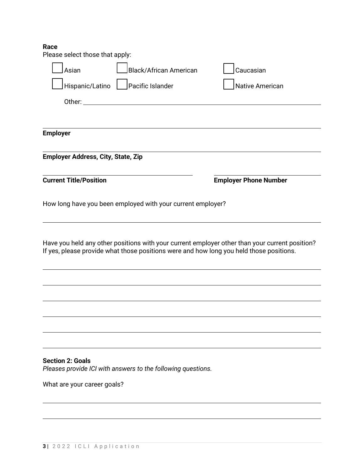# **Race**<br>Please

| Please select those that apply:           |                                                              |                                                                                                                                                                                           |  |
|-------------------------------------------|--------------------------------------------------------------|-------------------------------------------------------------------------------------------------------------------------------------------------------------------------------------------|--|
| Asian                                     | <b>Black/African American</b>                                | Caucasian                                                                                                                                                                                 |  |
| Hispanic/Latino                           | Pacific Islander                                             | <b>Native American</b>                                                                                                                                                                    |  |
|                                           |                                                              |                                                                                                                                                                                           |  |
|                                           |                                                              |                                                                                                                                                                                           |  |
| <b>Employer</b>                           |                                                              |                                                                                                                                                                                           |  |
| <b>Employer Address, City, State, Zip</b> |                                                              |                                                                                                                                                                                           |  |
| <b>Current Title/Position</b>             |                                                              | <b>Employer Phone Number</b>                                                                                                                                                              |  |
|                                           | How long have you been employed with your current employer?  |                                                                                                                                                                                           |  |
|                                           |                                                              | Have you held any other positions with your current employer other than your current position?<br>If yes, please provide what those positions were and how long you held those positions. |  |
|                                           |                                                              |                                                                                                                                                                                           |  |
|                                           |                                                              |                                                                                                                                                                                           |  |
|                                           |                                                              |                                                                                                                                                                                           |  |
|                                           |                                                              |                                                                                                                                                                                           |  |
|                                           |                                                              |                                                                                                                                                                                           |  |
| <b>Section 2: Goals</b>                   | Pleases provide ICI with answers to the following questions. |                                                                                                                                                                                           |  |
| What are your career goals?               |                                                              |                                                                                                                                                                                           |  |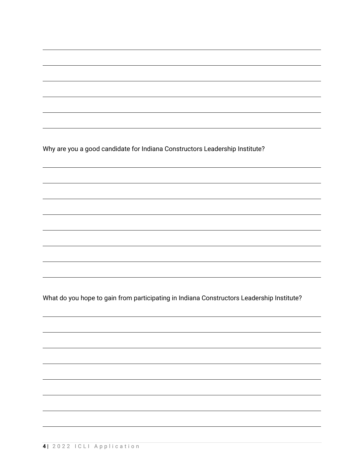Why are you a good candidate for Indiana Constructors Leadership Institute?

What do you hope to gain from participating in Indiana Constructors Leadership Institute?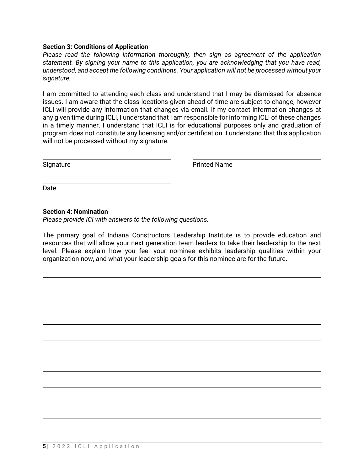## **Section 3: Conditions of Application**

*Please read the following information thoroughly, then sign as agreement of the application statement. By signing your name to this application, you are acknowledging that you have read, understood, and accept the following conditions. Your application will not be processed without your signature.*

I am committed to attending each class and understand that I may be dismissed for absence issues. I am aware that the class locations given ahead of time are subject to change, however ICLI will provide any information that changes via email. If my contact information changes at any given time during ICLI, I understand that I am responsible for informing ICLI of these changes in a timely manner. I understand that ICLI is for educational purposes only and graduation of program does not constitute any licensing and/or certification. I understand that this application will not be processed without my signature.

Signature **Printed Name** 

Date

## **Section 4: Nomination**

*Please provide ICI with answers to the following questions.*

The primary goal of Indiana Constructors Leadership Institute is to provide education and resources that will allow your next generation team leaders to take their leadership to the next level. Please explain how you feel your nominee exhibits leadership qualities within your organization now, and what your leadership goals for this nominee are for the future.